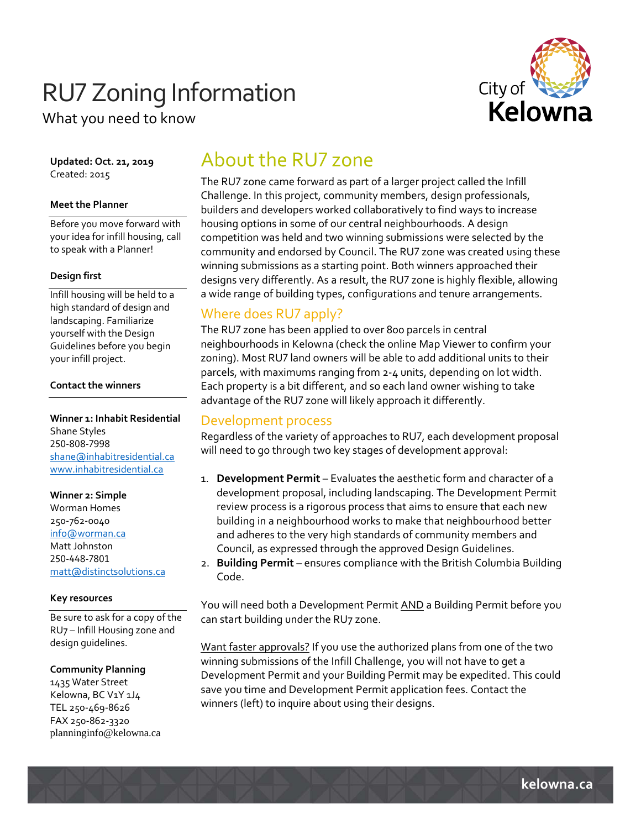# **RU7 Zoning Information**



What you need to know

**Updated: Oct. 21, 2019** Created: 2015

### **Meet the Planner**

Before you move forward with your idea for infill housing, call to speak with a Planner!

#### **Design first**

Infill housing will be held to a high standard of design and landscaping. Familiarize yourself with the Design Guidelines before you begin your infill project.

### **Contact the winners**

**Winner 1: Inhabit Residential** Shane Styles 250-808-7998 shane@inhabitresidential.ca www.inhabitresidential.ca

### **Winner 2: Simple**

Worman Homes 250‐762‐0040 info@worman.ca Matt Johnston 250-448-7801 matt@distinctsolutions.ca

### **Key resources**

Be sure to ask for a copy of the RU7 – Infill Housing zone and design guidelines.

### **Community Planning**

1435 Water Street Kelowna, BC V1Y 1J4 TEL 250‐469‐8626 FAX 250‐862‐3320 planninginfo@kelowna.ca

# About the RU7 zone

The RU7 zone came forward as part of a larger project called the Infill Challenge. In this project, community members, design professionals, builders and developers worked collaboratively to find ways to increase housing options in some of our central neighbourhoods. A design competition was held and two winning submissions were selected by the community and endorsed by Council. The RU7 zone was created using these winning submissions as a starting point. Both winners approached their designs very differently. As a result, the RU7 zone is highly flexible, allowing a wide range of building types, configurations and tenure arrangements.

# Where does RU7 apply?

The RU7 zone has been applied to over 800 parcels in central neighbourhoods in Kelowna (check the online Map Viewer to confirm your zoning). Most RU7 land owners will be able to add additional units to their parcels, with maximums ranging from 2‐4 units, depending on lot width. Each property is a bit different, and so each land owner wishing to take advantage of the RU7 zone will likely approach it differently.

### Development process

Regardless of the variety of approaches to RU7, each development proposal will need to go through two key stages of development approval:

- 1. **Development Permit** Evaluates the aesthetic form and character of a development proposal, including landscaping. The Development Permit review process is a rigorous process that aims to ensure that each new building in a neighbourhood works to make that neighbourhood better and adheres to the very high standards of community members and Council, as expressed through the approved Design Guidelines.
- 2. **Building Permit** ensures compliance with the British Columbia Building Code.

You will need both a Development Permit AND a Building Permit before you can start building under the RU7 zone.

Want faster approvals? If you use the authorized plans from one of the two winning submissions of the Infill Challenge, you will not have to get a Development Permit and your Building Permit may be expedited. This could save you time and Development Permit application fees. Contact the winners (left) to inquire about using their designs.